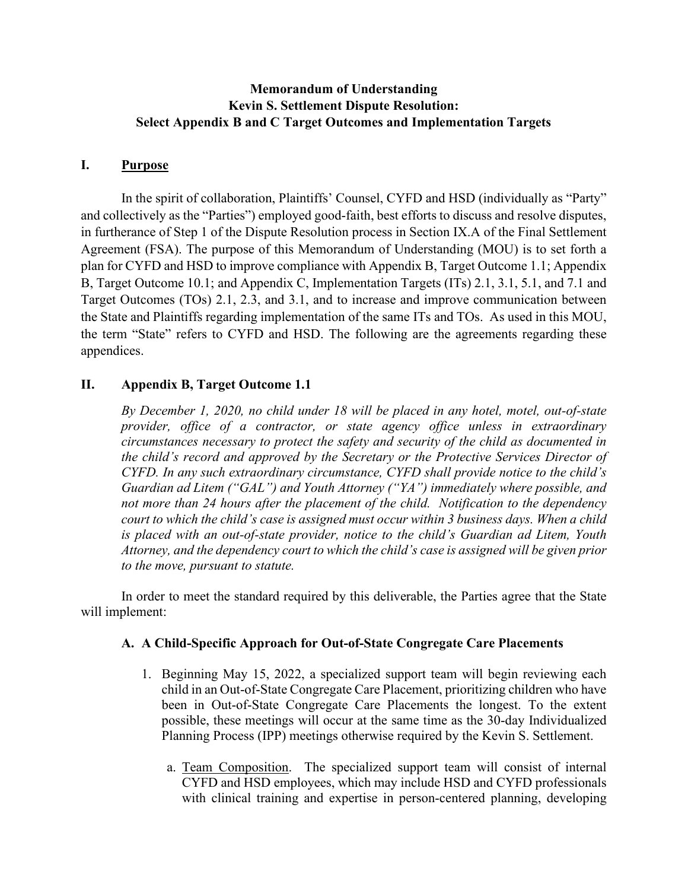## **Memorandum of Understanding Kevin S. Settlement Dispute Resolution: Select Appendix B and C Target Outcomes and Implementation Targets**

### **I. Purpose**

In the spirit of collaboration, Plaintiffs' Counsel, CYFD and HSD (individually as "Party" and collectively as the "Parties") employed good-faith, best efforts to discuss and resolve disputes, in furtherance of Step 1 of the Dispute Resolution process in Section IX.A of the Final Settlement Agreement (FSA). The purpose of this Memorandum of Understanding (MOU) is to set forth a plan for CYFD and HSD to improve compliance with Appendix B, Target Outcome 1.1; Appendix B, Target Outcome 10.1; and Appendix C, Implementation Targets (ITs) 2.1, 3.1, 5.1, and 7.1 and Target Outcomes (TOs) 2.1, 2.3, and 3.1, and to increase and improve communication between the State and Plaintiffs regarding implementation of the same ITs and TOs. As used in this MOU, the term "State" refers to CYFD and HSD. The following are the agreements regarding these appendices.

## **II. Appendix B, Target Outcome 1.1**

*By December 1, 2020, no child under 18 will be placed in any hotel, motel, out-of-state provider, office of a contractor, or state agency office unless in extraordinary circumstances necessary to protect the safety and security of the child as documented in the child's record and approved by the Secretary or the Protective Services Director of CYFD. In any such extraordinary circumstance, CYFD shall provide notice to the child's Guardian ad Litem ("GAL") and Youth Attorney ("YA") immediately where possible, and not more than 24 hours after the placement of the child. Notification to the dependency court to which the child's case is assigned must occur within 3 business days. When a child is placed with an out-of-state provider, notice to the child's Guardian ad Litem, Youth Attorney, and the dependency court to which the child's case is assigned will be given prior to the move, pursuant to statute.* 

In order to meet the standard required by this deliverable, the Parties agree that the State will implement:

#### **A. A Child-Specific Approach for Out-of-State Congregate Care Placements**

- 1. Beginning May 15, 2022, a specialized support team will begin reviewing each child in an Out-of-State Congregate Care Placement, prioritizing children who have been in Out-of-State Congregate Care Placements the longest. To the extent possible, these meetings will occur at the same time as the 30-day Individualized Planning Process (IPP) meetings otherwise required by the Kevin S. Settlement.
	- a. Team Composition. The specialized support team will consist of internal CYFD and HSD employees, which may include HSD and CYFD professionals with clinical training and expertise in person-centered planning, developing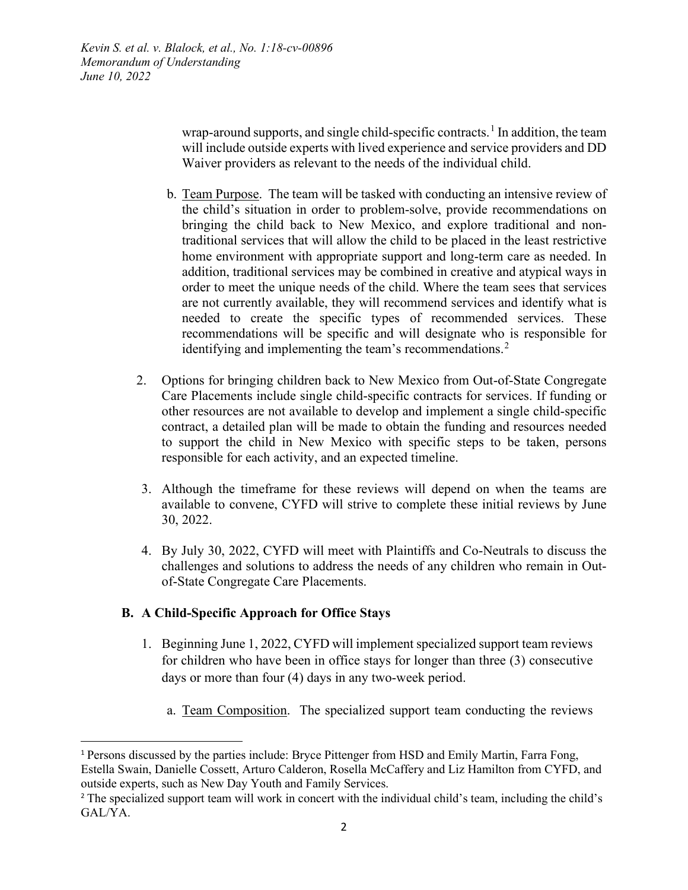> wrap-around supports, and single child-specific contracts.<sup>[1](#page-1-0)</sup> In addition, the team will include outside experts with lived experience and service providers and DD Waiver providers as relevant to the needs of the individual child.

- b. Team Purpose. The team will be tasked with conducting an intensive review of the child's situation in order to problem-solve, provide recommendations on bringing the child back to New Mexico, and explore traditional and nontraditional services that will allow the child to be placed in the least restrictive home environment with appropriate support and long-term care as needed. In addition, traditional services may be combined in creative and atypical ways in order to meet the unique needs of the child. Where the team sees that services are not currently available, they will recommend services and identify what is needed to create the specific types of recommended services. These recommendations will be specific and will designate who is responsible for identifying and implementing the team's recommendations.<sup>[2](#page-1-1)</sup>
- 2. Options for bringing children back to New Mexico from Out-of-State Congregate Care Placements include single child-specific contracts for services. If funding or other resources are not available to develop and implement a single child-specific contract, a detailed plan will be made to obtain the funding and resources needed to support the child in New Mexico with specific steps to be taken, persons responsible for each activity, and an expected timeline.
- 3. Although the timeframe for these reviews will depend on when the teams are available to convene, CYFD will strive to complete these initial reviews by June 30, 2022.
- 4. By July 30, 2022, CYFD will meet with Plaintiffs and Co-Neutrals to discuss the challenges and solutions to address the needs of any children who remain in Outof-State Congregate Care Placements.

## **B. A Child-Specific Approach for Office Stays**

- 1. Beginning June 1, 2022, CYFD will implement specialized support team reviews for children who have been in office stays for longer than three (3) consecutive days or more than four (4) days in any two-week period.
	- a. Team Composition. The specialized support team conducting the reviews

<span id="page-1-0"></span><sup>1</sup> Persons discussed by the parties include: Bryce Pittenger from HSD and Emily Martin, Farra Fong, Estella Swain, Danielle Cossett, Arturo Calderon, Rosella McCaffery and Liz Hamilton from CYFD, and outside experts, such as New Day Youth and Family Services.

<span id="page-1-1"></span><sup>&</sup>lt;sup>2</sup> The specialized support team will work in concert with the individual child's team, including the child's GAL/YA.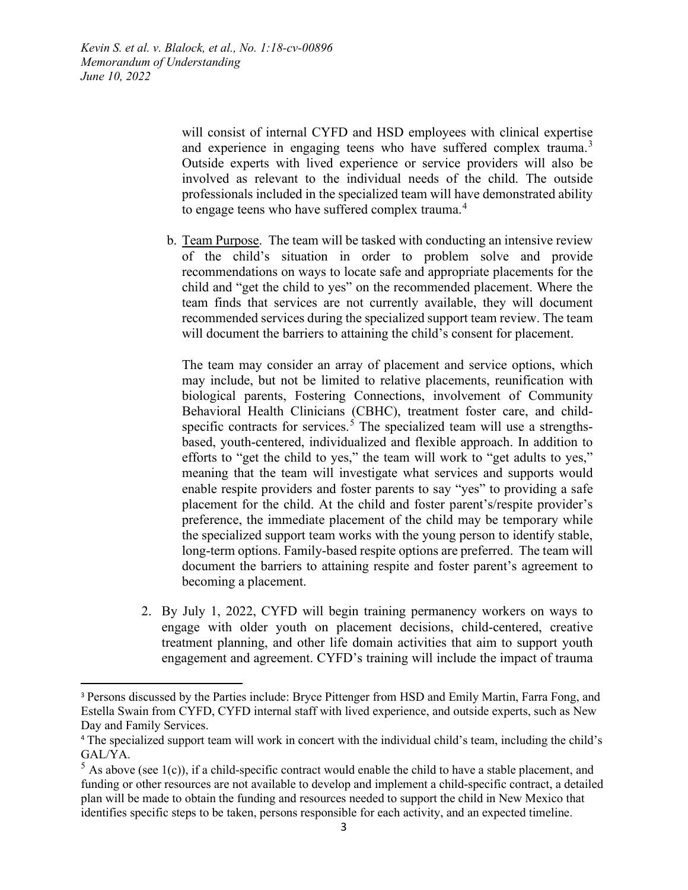> will consist of internal CYFD and HSD employees with clinical expertise and experience in engaging teens who have suffered complex trauma.<sup>[3](#page-2-0)</sup> Outside experts with lived experience or service providers will also be involved as relevant to the individual needs of the child. The outside professionals included in the specialized team will have demonstrated ability to engage teens who have suffered complex trauma.<sup>[4](#page-2-1)</sup>

b. Team Purpose. The team will be tasked with conducting an intensive review of the child's situation in order to problem solve and provide recommendations on ways to locate safe and appropriate placements for the child and "get the child to yes" on the recommended placement. Where the team finds that services are not currently available, they will document recommended services during the specialized support team review. The team will document the barriers to attaining the child's consent for placement.

The team may consider an array of placement and service options, which may include, but not be limited to relative placements, reunification with biological parents, Fostering Connections, involvement of Community Behavioral Health Clinicians (CBHC), treatment foster care, and child-specific contracts for services.<sup>[5](#page-2-2)</sup> The specialized team will use a strengthsbased, youth-centered, individualized and flexible approach. In addition to efforts to "get the child to yes," the team will work to "get adults to yes," meaning that the team will investigate what services and supports would enable respite providers and foster parents to say "yes" to providing a safe placement for the child. At the child and foster parent's/respite provider's preference, the immediate placement of the child may be temporary while the specialized support team works with the young person to identify stable, long-term options. Family-based respite options are preferred. The team will document the barriers to attaining respite and foster parent's agreement to becoming a placement.

2. By July 1, 2022, CYFD will begin training permanency workers on ways to engage with older youth on placement decisions, child-centered, creative treatment planning, and other life domain activities that aim to support youth engagement and agreement. CYFD's training will include the impact of trauma

<span id="page-2-0"></span><sup>&</sup>lt;sup>3</sup> Persons discussed by the Parties include: Bryce Pittenger from HSD and Emily Martin, Farra Fong, and Estella Swain from CYFD, CYFD internal staff with lived experience, and outside experts, such as New Day and Family Services.

<span id="page-2-1"></span><sup>&</sup>lt;sup>4</sup> The specialized support team will work in concert with the individual child's team, including the child's GAL/YA.

<span id="page-2-2"></span> $5$  As above (see 1(c)), if a child-specific contract would enable the child to have a stable placement, and funding or other resources are not available to develop and implement a child-specific contract, a detailed plan will be made to obtain the funding and resources needed to support the child in New Mexico that identifies specific steps to be taken, persons responsible for each activity, and an expected timeline.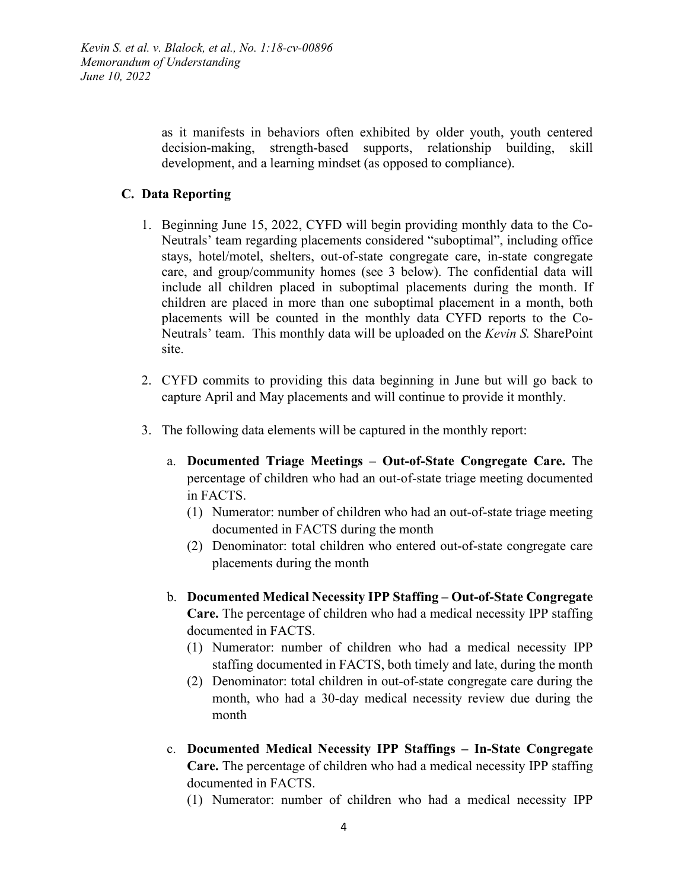> as it manifests in behaviors often exhibited by older youth, youth centered decision-making, strength-based supports, relationship building, skill development, and a learning mindset (as opposed to compliance).

#### **C. Data Reporting**

- 1. Beginning June 15, 2022, CYFD will begin providing monthly data to the Co-Neutrals' team regarding placements considered "suboptimal", including office stays, hotel/motel, shelters, out-of-state congregate care, in-state congregate care, and group/community homes (see 3 below). The confidential data will include all children placed in suboptimal placements during the month. If children are placed in more than one suboptimal placement in a month, both placements will be counted in the monthly data CYFD reports to the Co-Neutrals' team. This monthly data will be uploaded on the *Kevin S.* SharePoint site.
- 2. CYFD commits to providing this data beginning in June but will go back to capture April and May placements and will continue to provide it monthly.
- 3. The following data elements will be captured in the monthly report:
	- a. **Documented Triage Meetings – Out-of-State Congregate Care.** The percentage of children who had an out-of-state triage meeting documented in FACTS.
		- (1) Numerator: number of children who had an out-of-state triage meeting documented in FACTS during the month
		- (2) Denominator: total children who entered out-of-state congregate care placements during the month
	- b. **Documented Medical Necessity IPP Staffing – Out-of-State Congregate Care.** The percentage of children who had a medical necessity IPP staffing documented in FACTS.
		- (1) Numerator: number of children who had a medical necessity IPP staffing documented in FACTS, both timely and late, during the month
		- (2) Denominator: total children in out-of-state congregate care during the month, who had a 30-day medical necessity review due during the month
	- c. **Documented Medical Necessity IPP Staffings – In-State Congregate Care.** The percentage of children who had a medical necessity IPP staffing documented in FACTS.
		- (1) Numerator: number of children who had a medical necessity IPP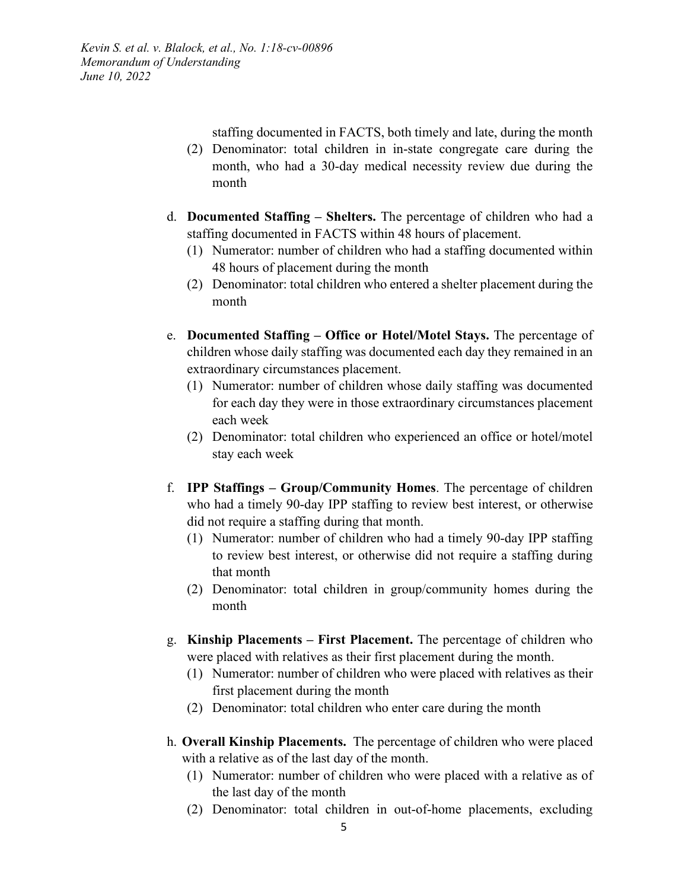staffing documented in FACTS, both timely and late, during the month

- (2) Denominator: total children in in-state congregate care during the month, who had a 30-day medical necessity review due during the month
- d. **Documented Staffing – Shelters.** The percentage of children who had a staffing documented in FACTS within 48 hours of placement.
	- (1) Numerator: number of children who had a staffing documented within 48 hours of placement during the month
	- (2) Denominator: total children who entered a shelter placement during the month
- e. **Documented Staffing – Office or Hotel/Motel Stays.** The percentage of children whose daily staffing was documented each day they remained in an extraordinary circumstances placement.
	- (1) Numerator: number of children whose daily staffing was documented for each day they were in those extraordinary circumstances placement each week
	- (2) Denominator: total children who experienced an office or hotel/motel stay each week
- f. **IPP Staffings – Group/Community Homes**. The percentage of children who had a timely 90-day IPP staffing to review best interest, or otherwise did not require a staffing during that month.
	- (1) Numerator: number of children who had a timely 90-day IPP staffing to review best interest, or otherwise did not require a staffing during that month
	- (2) Denominator: total children in group/community homes during the month
- g. **Kinship Placements – First Placement.** The percentage of children who were placed with relatives as their first placement during the month.
	- (1) Numerator: number of children who were placed with relatives as their first placement during the month
	- (2) Denominator: total children who enter care during the month
- h. **Overall Kinship Placements.** The percentage of children who were placed with a relative as of the last day of the month.
	- (1) Numerator: number of children who were placed with a relative as of the last day of the month
	- (2) Denominator: total children in out-of-home placements, excluding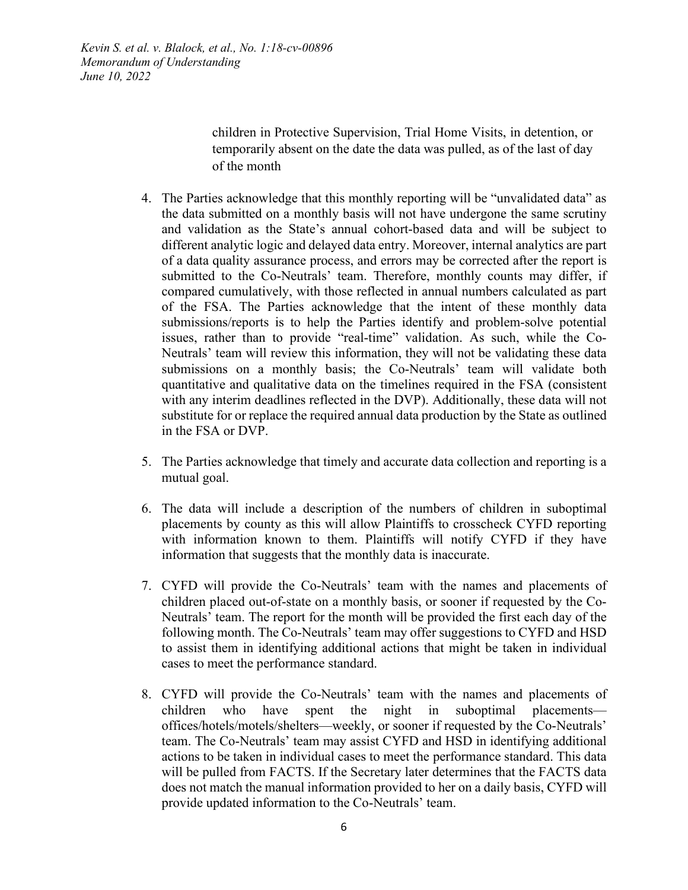> children in Protective Supervision, Trial Home Visits, in detention, or temporarily absent on the date the data was pulled, as of the last of day of the month

- 4. The Parties acknowledge that this monthly reporting will be "unvalidated data" as the data submitted on a monthly basis will not have undergone the same scrutiny and validation as the State's annual cohort-based data and will be subject to different analytic logic and delayed data entry. Moreover, internal analytics are part of a data quality assurance process, and errors may be corrected after the report is submitted to the Co-Neutrals' team. Therefore, monthly counts may differ, if compared cumulatively, with those reflected in annual numbers calculated as part of the FSA. The Parties acknowledge that the intent of these monthly data submissions/reports is to help the Parties identify and problem-solve potential issues, rather than to provide "real-time" validation. As such, while the Co-Neutrals' team will review this information, they will not be validating these data submissions on a monthly basis; the Co-Neutrals' team will validate both quantitative and qualitative data on the timelines required in the FSA (consistent with any interim deadlines reflected in the DVP). Additionally, these data will not substitute for or replace the required annual data production by the State as outlined in the FSA or DVP.
- 5. The Parties acknowledge that timely and accurate data collection and reporting is a mutual goal.
- 6. The data will include a description of the numbers of children in suboptimal placements by county as this will allow Plaintiffs to crosscheck CYFD reporting with information known to them. Plaintiffs will notify CYFD if they have information that suggests that the monthly data is inaccurate.
- 7. CYFD will provide the Co-Neutrals' team with the names and placements of children placed out-of-state on a monthly basis, or sooner if requested by the Co-Neutrals' team. The report for the month will be provided the first each day of the following month. The Co-Neutrals' team may offer suggestions to CYFD and HSD to assist them in identifying additional actions that might be taken in individual cases to meet the performance standard.
- 8. CYFD will provide the Co-Neutrals' team with the names and placements of children who have spent the night in suboptimal placements offices/hotels/motels/shelters—weekly, or sooner if requested by the Co-Neutrals' team. The Co-Neutrals' team may assist CYFD and HSD in identifying additional actions to be taken in individual cases to meet the performance standard. This data will be pulled from FACTS. If the Secretary later determines that the FACTS data does not match the manual information provided to her on a daily basis, CYFD will provide updated information to the Co-Neutrals' team.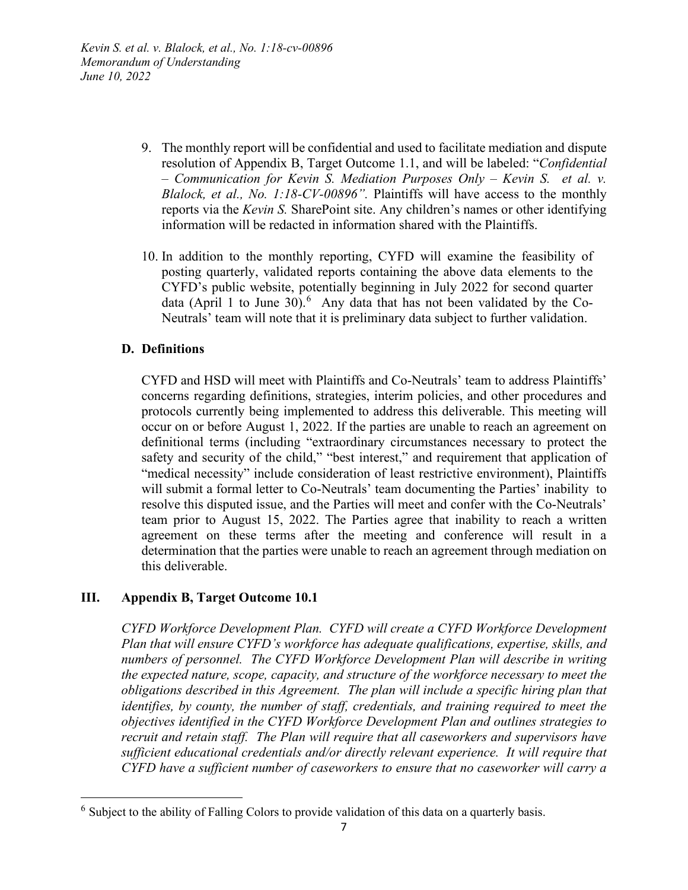- 9. The monthly report will be confidential and used to facilitate mediation and dispute resolution of Appendix B, Target Outcome 1.1, and will be labeled: "*Confidential – Communication for Kevin S. Mediation Purposes Only – Kevin S. et al. v. Blalock, et al., No. 1:18-CV-00896".* Plaintiffs will have access to the monthly reports via the *Kevin S.* SharePoint site. Any children's names or other identifying information will be redacted in information shared with the Plaintiffs.
- 10. In addition to the monthly reporting, CYFD will examine the feasibility of posting quarterly, validated reports containing the above data elements to the CYFD's public website, potentially beginning in July 2022 for second quarter data (April 1 to June 30). <sup>[6](#page-6-0)</sup> Any data that has not been validated by the Co-Neutrals' team will note that it is preliminary data subject to further validation.

#### **D. Definitions**

CYFD and HSD will meet with Plaintiffs and Co-Neutrals' team to address Plaintiffs' concerns regarding definitions, strategies, interim policies, and other procedures and protocols currently being implemented to address this deliverable. This meeting will occur on or before August 1, 2022. If the parties are unable to reach an agreement on definitional terms (including "extraordinary circumstances necessary to protect the safety and security of the child," "best interest," and requirement that application of "medical necessity" include consideration of least restrictive environment), Plaintiffs will submit a formal letter to Co-Neutrals' team documenting the Parties' inability to resolve this disputed issue, and the Parties will meet and confer with the Co-Neutrals' team prior to August 15, 2022. The Parties agree that inability to reach a written agreement on these terms after the meeting and conference will result in a determination that the parties were unable to reach an agreement through mediation on this deliverable.

## **III. Appendix B, Target Outcome 10.1**

*CYFD Workforce Development Plan. CYFD will create a CYFD Workforce Development Plan that will ensure CYFD's workforce has adequate qualifications, expertise, skills, and numbers of personnel. The CYFD Workforce Development Plan will describe in writing the expected nature, scope, capacity, and structure of the workforce necessary to meet the obligations described in this Agreement. The plan will include a specific hiring plan that identifies, by county, the number of staff, credentials, and training required to meet the objectives identified in the CYFD Workforce Development Plan and outlines strategies to recruit and retain staff. The Plan will require that all caseworkers and supervisors have sufficient educational credentials and/or directly relevant experience. It will require that CYFD have a sufficient number of caseworkers to ensure that no caseworker will carry a* 

<span id="page-6-0"></span> $6$  Subject to the ability of Falling Colors to provide validation of this data on a quarterly basis.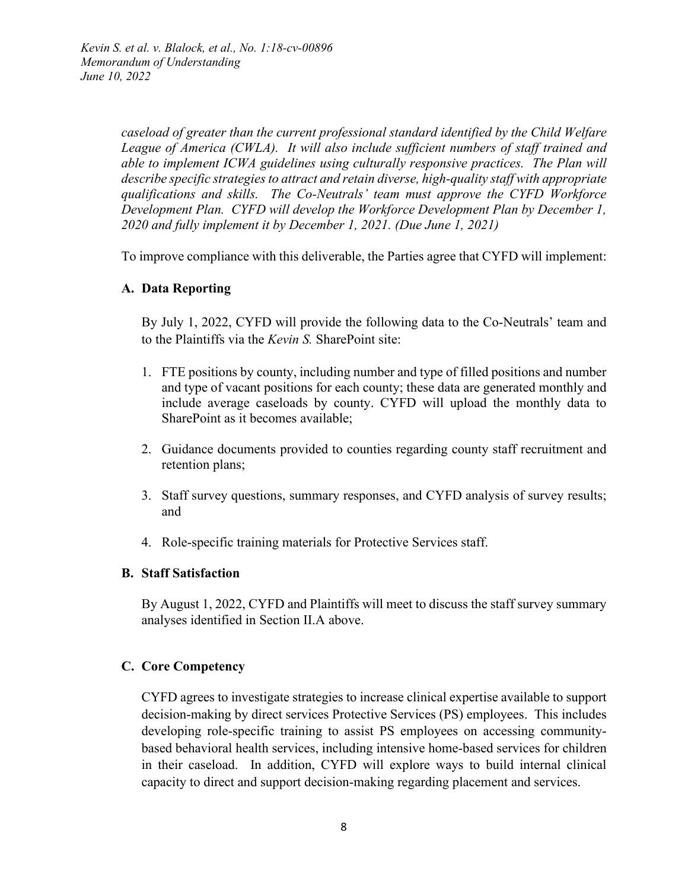*caseload of greater than the current professional standard identified by the Child Welfare League of America (CWLA). It will also include sufficient numbers of staff trained and able to implement ICWA guidelines using culturally responsive practices. The Plan will describe specific strategies to attract and retain diverse, high-quality staff with appropriate qualifications and skills. The Co-Neutrals' team must approve the CYFD Workforce Development Plan. CYFD will develop the Workforce Development Plan by December 1, 2020 and fully implement it by December 1, 2021. (Due June 1, 2021)*

To improve compliance with this deliverable, the Parties agree that CYFD will implement:

#### **A. Data Reporting**

By July 1, 2022, CYFD will provide the following data to the Co-Neutrals' team and to the Plaintiffs via the *Kevin S.* SharePoint site:

- 1. FTE positions by county, including number and type of filled positions and number and type of vacant positions for each county; these data are generated monthly and include average caseloads by county. CYFD will upload the monthly data to SharePoint as it becomes available;
- 2. Guidance documents provided to counties regarding county staff recruitment and retention plans;
- 3. Staff survey questions, summary responses, and CYFD analysis of survey results; and
- 4. Role-specific training materials for Protective Services staff.

#### **B. Staff Satisfaction**

By August 1, 2022, CYFD and Plaintiffs will meet to discuss the staff survey summary analyses identified in Section II.A above.

#### **C. Core Competency**

CYFD agrees to investigate strategies to increase clinical expertise available to support decision-making by direct services Protective Services (PS) employees. This includes developing role-specific training to assist PS employees on accessing communitybased behavioral health services, including intensive home-based services for children in their caseload. In addition, CYFD will explore ways to build internal clinical capacity to direct and support decision-making regarding placement and services.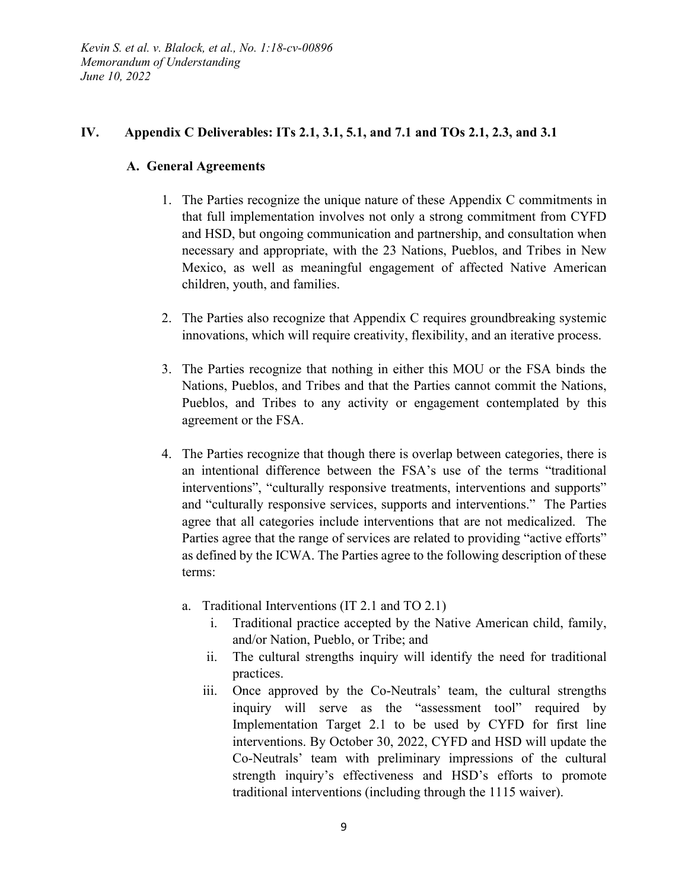### **IV. Appendix C Deliverables: ITs 2.1, 3.1, 5.1, and 7.1 and TOs 2.1, 2.3, and 3.1**

### **A. General Agreements**

- 1. The Parties recognize the unique nature of these Appendix C commitments in that full implementation involves not only a strong commitment from CYFD and HSD, but ongoing communication and partnership, and consultation when necessary and appropriate, with the 23 Nations, Pueblos, and Tribes in New Mexico, as well as meaningful engagement of affected Native American children, youth, and families.
- 2. The Parties also recognize that Appendix C requires groundbreaking systemic innovations, which will require creativity, flexibility, and an iterative process.
- 3. The Parties recognize that nothing in either this MOU or the FSA binds the Nations, Pueblos, and Tribes and that the Parties cannot commit the Nations, Pueblos, and Tribes to any activity or engagement contemplated by this agreement or the FSA.
- 4. The Parties recognize that though there is overlap between categories, there is an intentional difference between the FSA's use of the terms "traditional interventions", "culturally responsive treatments, interventions and supports" and "culturally responsive services, supports and interventions." The Parties agree that all categories include interventions that are not medicalized. The Parties agree that the range of services are related to providing "active efforts" as defined by the ICWA. The Parties agree to the following description of these terms:
	- a. Traditional Interventions (IT 2.1 and TO 2.1)
		- i. Traditional practice accepted by the Native American child, family, and/or Nation, Pueblo, or Tribe; and
		- ii. The cultural strengths inquiry will identify the need for traditional practices.
		- iii. Once approved by the Co-Neutrals' team, the cultural strengths inquiry will serve as the "assessment tool" required by Implementation Target 2.1 to be used by CYFD for first line interventions. By October 30, 2022, CYFD and HSD will update the Co-Neutrals' team with preliminary impressions of the cultural strength inquiry's effectiveness and HSD's efforts to promote traditional interventions (including through the 1115 waiver).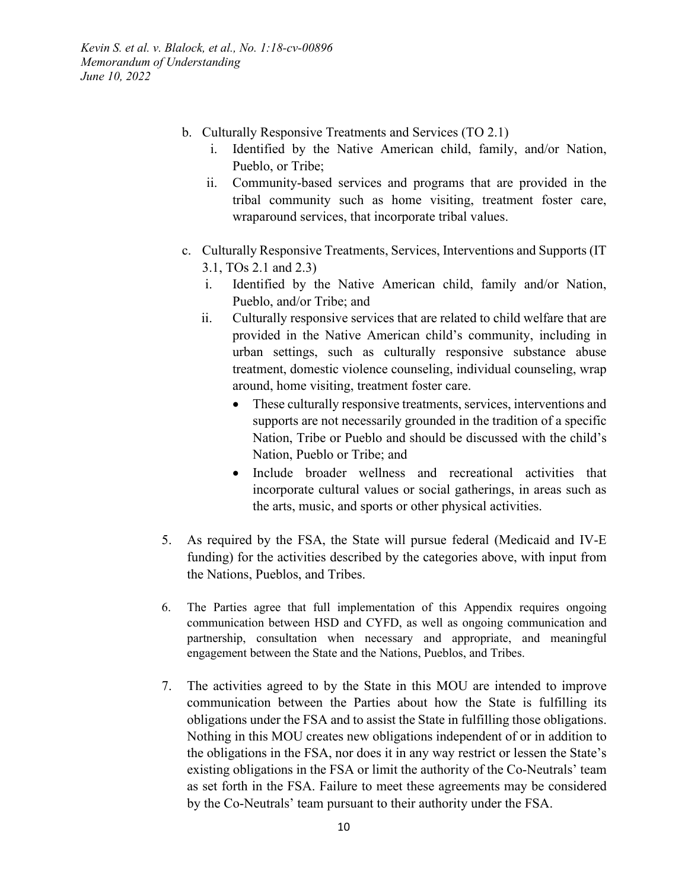- b. Culturally Responsive Treatments and Services (TO 2.1)
	- i. Identified by the Native American child, family, and/or Nation, Pueblo, or Tribe;
	- ii. Community-based services and programs that are provided in the tribal community such as home visiting, treatment foster care, wraparound services, that incorporate tribal values.
- c. Culturally Responsive Treatments, Services, Interventions and Supports (IT 3.1, TOs 2.1 and 2.3)
	- i. Identified by the Native American child, family and/or Nation, Pueblo, and/or Tribe; and
	- ii. Culturally responsive services that are related to child welfare that are provided in the Native American child's community, including in urban settings, such as culturally responsive substance abuse treatment, domestic violence counseling, individual counseling, wrap around, home visiting, treatment foster care.
		- These culturally responsive treatments, services, interventions and supports are not necessarily grounded in the tradition of a specific Nation, Tribe or Pueblo and should be discussed with the child's Nation, Pueblo or Tribe; and
		- Include broader wellness and recreational activities that incorporate cultural values or social gatherings, in areas such as the arts, music, and sports or other physical activities.
- 5. As required by the FSA, the State will pursue federal (Medicaid and IV-E funding) for the activities described by the categories above, with input from the Nations, Pueblos, and Tribes.
- 6. The Parties agree that full implementation of this Appendix requires ongoing communication between HSD and CYFD, as well as ongoing communication and partnership, consultation when necessary and appropriate, and meaningful engagement between the State and the Nations, Pueblos, and Tribes.
- 7. The activities agreed to by the State in this MOU are intended to improve communication between the Parties about how the State is fulfilling its obligations under the FSA and to assist the State in fulfilling those obligations. Nothing in this MOU creates new obligations independent of or in addition to the obligations in the FSA, nor does it in any way restrict or lessen the State's existing obligations in the FSA or limit the authority of the Co-Neutrals' team as set forth in the FSA. Failure to meet these agreements may be considered by the Co-Neutrals' team pursuant to their authority under the FSA.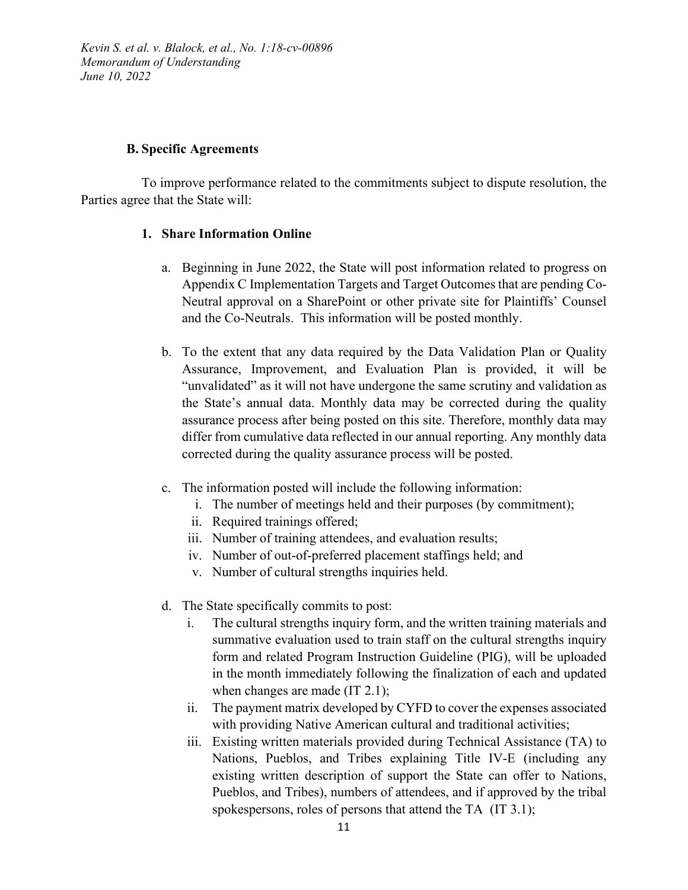#### **B. Specific Agreements**

To improve performance related to the commitments subject to dispute resolution, the Parties agree that the State will:

#### **1. Share Information Online**

- a. Beginning in June 2022, the State will post information related to progress on Appendix C Implementation Targets and Target Outcomes that are pending Co-Neutral approval on a SharePoint or other private site for Plaintiffs' Counsel and the Co-Neutrals. This information will be posted monthly.
- b. To the extent that any data required by the Data Validation Plan or Quality Assurance, Improvement, and Evaluation Plan is provided, it will be "unvalidated" as it will not have undergone the same scrutiny and validation as the State's annual data. Monthly data may be corrected during the quality assurance process after being posted on this site. Therefore, monthly data may differ from cumulative data reflected in our annual reporting. Any monthly data corrected during the quality assurance process will be posted.
- c. The information posted will include the following information:
	- i. The number of meetings held and their purposes (by commitment);
	- ii. Required trainings offered;
	- iii. Number of training attendees, and evaluation results;
	- iv. Number of out-of-preferred placement staffings held; and
	- v. Number of cultural strengths inquiries held.
- d. The State specifically commits to post:
	- i. The cultural strengths inquiry form, and the written training materials and summative evaluation used to train staff on the cultural strengths inquiry form and related Program Instruction Guideline (PIG), will be uploaded in the month immediately following the finalization of each and updated when changes are made (IT 2.1);
	- ii. The payment matrix developed by CYFD to cover the expenses associated with providing Native American cultural and traditional activities;
	- iii. Existing written materials provided during Technical Assistance (TA) to Nations, Pueblos, and Tribes explaining Title IV-E (including any existing written description of support the State can offer to Nations, Pueblos, and Tribes), numbers of attendees, and if approved by the tribal spokespersons, roles of persons that attend the TA (IT 3.1);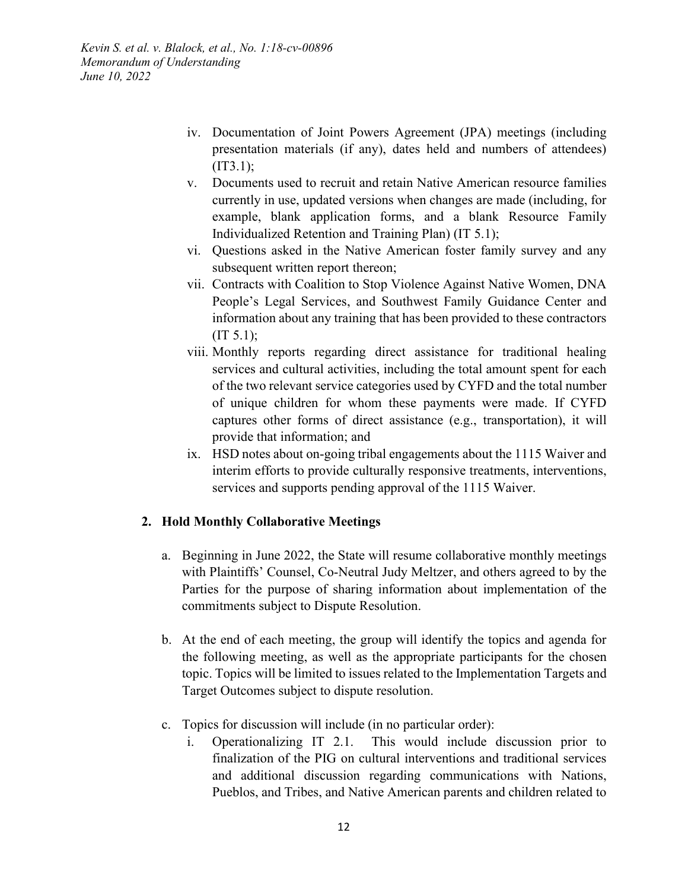- iv. Documentation of Joint Powers Agreement (JPA) meetings (including presentation materials (if any), dates held and numbers of attendees) (IT3.1);
- v. Documents used to recruit and retain Native American resource families currently in use, updated versions when changes are made (including, for example, blank application forms, and a blank Resource Family Individualized Retention and Training Plan) (IT 5.1);
- vi. Questions asked in the Native American foster family survey and any subsequent written report thereon;
- vii. Contracts with Coalition to Stop Violence Against Native Women, DNA People's Legal Services, and Southwest Family Guidance Center and information about any training that has been provided to these contractors  $(IT 5.1);$
- viii. Monthly reports regarding direct assistance for traditional healing services and cultural activities, including the total amount spent for each of the two relevant service categories used by CYFD and the total number of unique children for whom these payments were made. If CYFD captures other forms of direct assistance (e.g., transportation), it will provide that information; and
- ix. HSD notes about on-going tribal engagements about the 1115 Waiver and interim efforts to provide culturally responsive treatments, interventions, services and supports pending approval of the 1115 Waiver.

## **2. Hold Monthly Collaborative Meetings**

- a. Beginning in June 2022, the State will resume collaborative monthly meetings with Plaintiffs' Counsel, Co-Neutral Judy Meltzer, and others agreed to by the Parties for the purpose of sharing information about implementation of the commitments subject to Dispute Resolution.
- b. At the end of each meeting, the group will identify the topics and agenda for the following meeting, as well as the appropriate participants for the chosen topic. Topics will be limited to issues related to the Implementation Targets and Target Outcomes subject to dispute resolution.
- c. Topics for discussion will include (in no particular order):
	- i. Operationalizing IT 2.1. This would include discussion prior to finalization of the PIG on cultural interventions and traditional services and additional discussion regarding communications with Nations, Pueblos, and Tribes, and Native American parents and children related to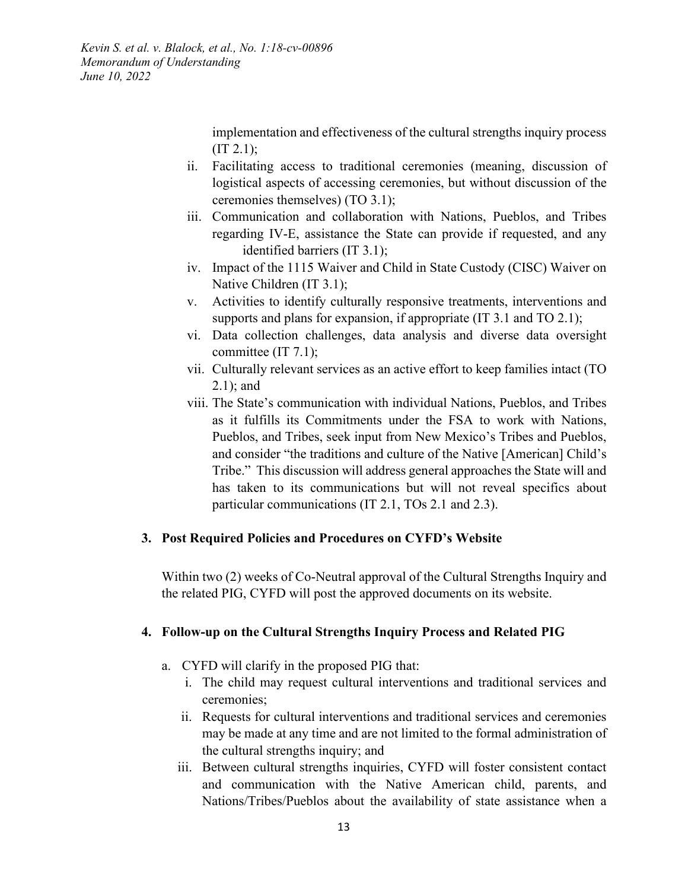> implementation and effectiveness of the cultural strengths inquiry process  $(TT 2.1);$

- ii. Facilitating access to traditional ceremonies (meaning, discussion of logistical aspects of accessing ceremonies, but without discussion of the ceremonies themselves) (TO 3.1);
- iii. Communication and collaboration with Nations, Pueblos, and Tribes regarding IV-E, assistance the State can provide if requested, and any identified barriers (IT 3.1);
- iv. Impact of the 1115 Waiver and Child in State Custody (CISC) Waiver on Native Children (IT 3.1);
- v. Activities to identify culturally responsive treatments, interventions and supports and plans for expansion, if appropriate (IT 3.1 and TO 2.1);
- vi. Data collection challenges, data analysis and diverse data oversight committee (IT 7.1);
- vii. Culturally relevant services as an active effort to keep families intact (TO 2.1); and
- viii. The State's communication with individual Nations, Pueblos, and Tribes as it fulfills its Commitments under the FSA to work with Nations, Pueblos, and Tribes, seek input from New Mexico's Tribes and Pueblos, and consider "the traditions and culture of the Native [American] Child's Tribe." This discussion will address general approaches the State will and has taken to its communications but will not reveal specifics about particular communications (IT 2.1, TOs 2.1 and 2.3).

#### **3. Post Required Policies and Procedures on CYFD's Website**

Within two (2) weeks of Co-Neutral approval of the Cultural Strengths Inquiry and the related PIG, CYFD will post the approved documents on its website.

#### **4. Follow-up on the Cultural Strengths Inquiry Process and Related PIG**

- a. CYFD will clarify in the proposed PIG that:
	- i. The child may request cultural interventions and traditional services and ceremonies;
	- ii. Requests for cultural interventions and traditional services and ceremonies may be made at any time and are not limited to the formal administration of the cultural strengths inquiry; and
	- iii. Between cultural strengths inquiries, CYFD will foster consistent contact and communication with the Native American child, parents, and Nations/Tribes/Pueblos about the availability of state assistance when a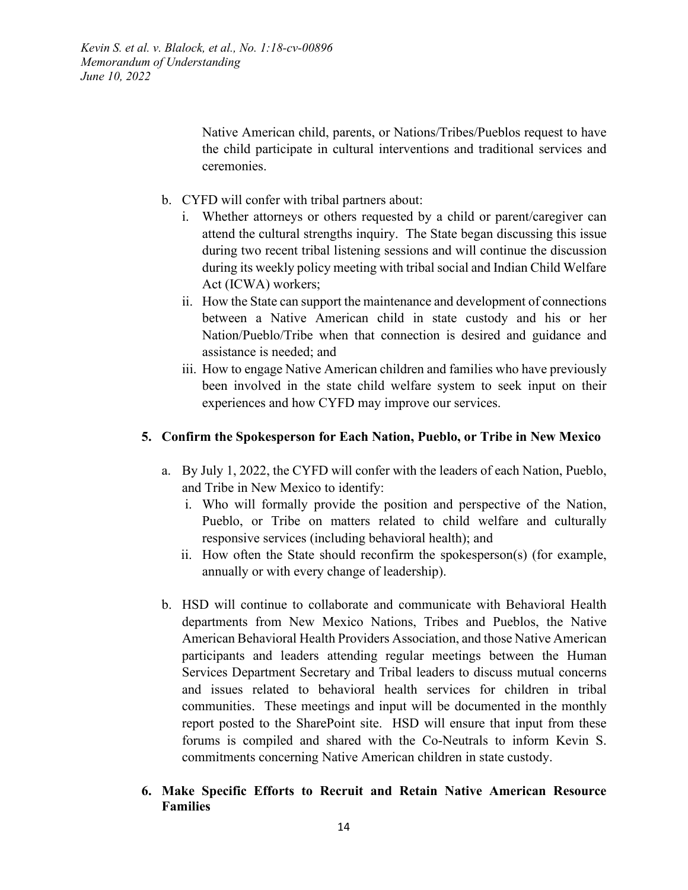> Native American child, parents, or Nations/Tribes/Pueblos request to have the child participate in cultural interventions and traditional services and ceremonies.

- b. CYFD will confer with tribal partners about:
	- i. Whether attorneys or others requested by a child or parent/caregiver can attend the cultural strengths inquiry. The State began discussing this issue during two recent tribal listening sessions and will continue the discussion during its weekly policy meeting with tribal social and Indian Child Welfare Act (ICWA) workers;
	- ii. How the State can support the maintenance and development of connections between a Native American child in state custody and his or her Nation/Pueblo/Tribe when that connection is desired and guidance and assistance is needed; and
	- iii. How to engage Native American children and families who have previously been involved in the state child welfare system to seek input on their experiences and how CYFD may improve our services.

#### **5. Confirm the Spokesperson for Each Nation, Pueblo, or Tribe in New Mexico**

- a. By July 1, 2022, the CYFD will confer with the leaders of each Nation, Pueblo, and Tribe in New Mexico to identify:
	- i. Who will formally provide the position and perspective of the Nation, Pueblo, or Tribe on matters related to child welfare and culturally responsive services (including behavioral health); and
	- ii. How often the State should reconfirm the spokesperson(s) (for example, annually or with every change of leadership).
- b. HSD will continue to collaborate and communicate with Behavioral Health departments from New Mexico Nations, Tribes and Pueblos, the Native American Behavioral Health Providers Association, and those Native American participants and leaders attending regular meetings between the Human Services Department Secretary and Tribal leaders to discuss mutual concerns and issues related to behavioral health services for children in tribal communities. These meetings and input will be documented in the monthly report posted to the SharePoint site. HSD will ensure that input from these forums is compiled and shared with the Co-Neutrals to inform Kevin S. commitments concerning Native American children in state custody.
- **6. Make Specific Efforts to Recruit and Retain Native American Resource Families**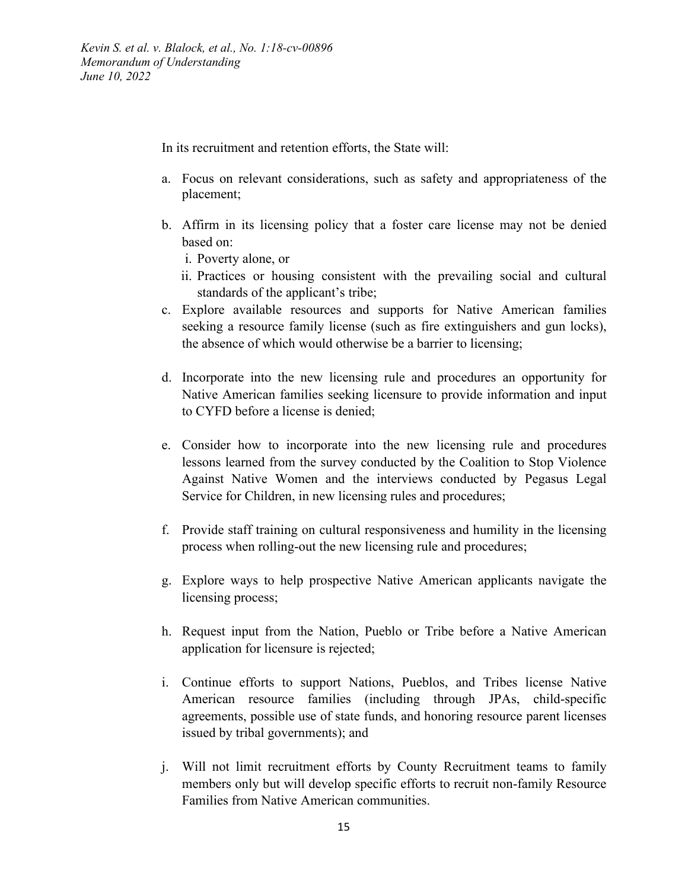In its recruitment and retention efforts, the State will:

- a. Focus on relevant considerations, such as safety and appropriateness of the placement;
- b. Affirm in its licensing policy that a foster care license may not be denied based on:
	- i. Poverty alone, or
	- ii. Practices or housing consistent with the prevailing social and cultural standards of the applicant's tribe;
- c. Explore available resources and supports for Native American families seeking a resource family license (such as fire extinguishers and gun locks), the absence of which would otherwise be a barrier to licensing;
- d. Incorporate into the new licensing rule and procedures an opportunity for Native American families seeking licensure to provide information and input to CYFD before a license is denied;
- e. Consider how to incorporate into the new licensing rule and procedures lessons learned from the survey conducted by the Coalition to Stop Violence Against Native Women and the interviews conducted by Pegasus Legal Service for Children, in new licensing rules and procedures;
- f. Provide staff training on cultural responsiveness and humility in the licensing process when rolling-out the new licensing rule and procedures;
- g. Explore ways to help prospective Native American applicants navigate the licensing process;
- h. Request input from the Nation, Pueblo or Tribe before a Native American application for licensure is rejected;
- i. Continue efforts to support Nations, Pueblos, and Tribes license Native American resource families (including through JPAs, child-specific agreements, possible use of state funds, and honoring resource parent licenses issued by tribal governments); and
- j. Will not limit recruitment efforts by County Recruitment teams to family members only but will develop specific efforts to recruit non-family Resource Families from Native American communities.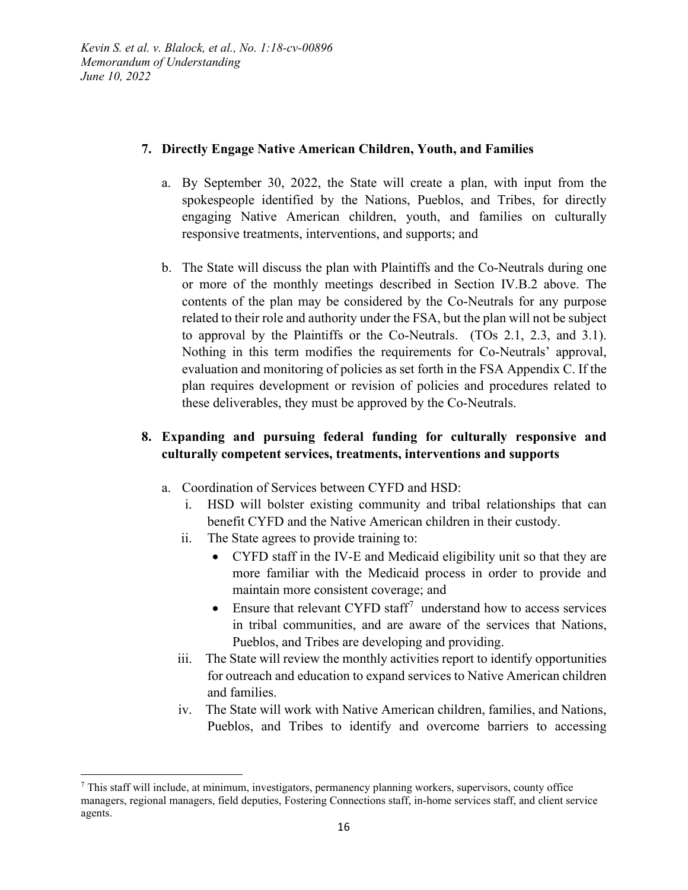## **7. Directly Engage Native American Children, Youth, and Families**

- a. By September 30, 2022, the State will create a plan, with input from the spokespeople identified by the Nations, Pueblos, and Tribes, for directly engaging Native American children, youth, and families on culturally responsive treatments, interventions, and supports; and
- b. The State will discuss the plan with Plaintiffs and the Co-Neutrals during one or more of the monthly meetings described in Section IV.B.2 above. The contents of the plan may be considered by the Co-Neutrals for any purpose related to their role and authority under the FSA, but the plan will not be subject to approval by the Plaintiffs or the Co-Neutrals. (TOs 2.1, 2.3, and 3.1). Nothing in this term modifies the requirements for Co-Neutrals' approval, evaluation and monitoring of policies as set forth in the FSA Appendix C. If the plan requires development or revision of policies and procedures related to these deliverables, they must be approved by the Co-Neutrals.

# **8. Expanding and pursuing federal funding for culturally responsive and culturally competent services, treatments, interventions and supports**

- a. Coordination of Services between CYFD and HSD:
	- i. HSD will bolster existing community and tribal relationships that can benefit CYFD and the Native American children in their custody.
	- ii. The State agrees to provide training to:
		- CYFD staff in the IV-E and Medicaid eligibility unit so that they are more familiar with the Medicaid process in order to provide and maintain more consistent coverage; and
		- Ensure that relevant CYFD staff<sup>[7](#page-15-0)</sup> understand how to access services in tribal communities, and are aware of the services that Nations, Pueblos, and Tribes are developing and providing.
	- iii. The State will review the monthly activities report to identify opportunities for outreach and education to expand services to Native American children and families.
	- iv. The State will work with Native American children, families, and Nations, Pueblos, and Tribes to identify and overcome barriers to accessing

<span id="page-15-0"></span> $^7$  This staff will include, at minimum, investigators, permanency planning workers, supervisors, county office managers, regional managers, field deputies, Fostering Connections staff, in-home services staff, and client service agents.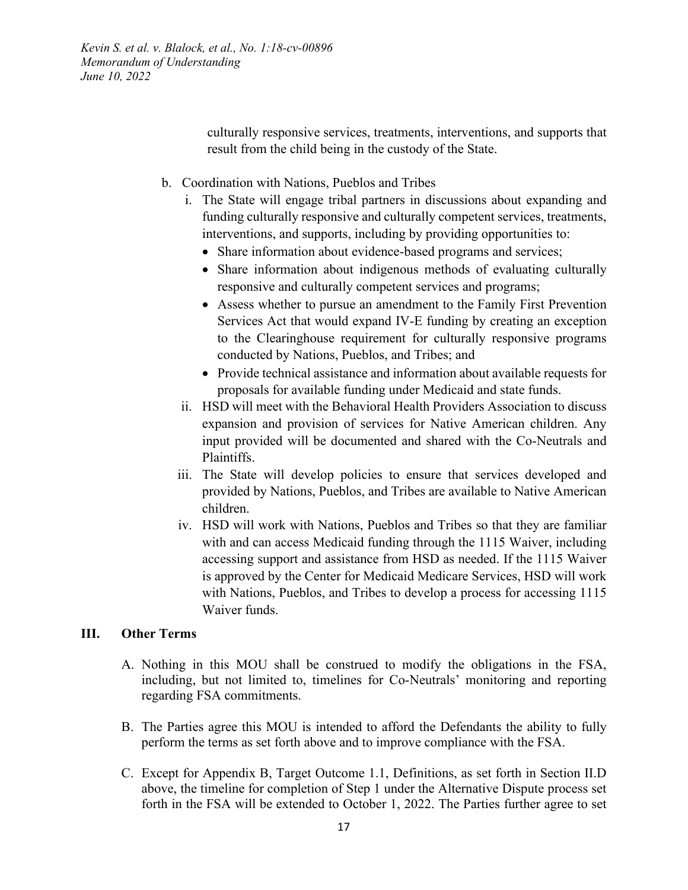> culturally responsive services, treatments, interventions, and supports that result from the child being in the custody of the State.

- b. Coordination with Nations, Pueblos and Tribes
	- i. The State will engage tribal partners in discussions about expanding and funding culturally responsive and culturally competent services, treatments, interventions, and supports, including by providing opportunities to:
		- Share information about evidence-based programs and services;
		- Share information about indigenous methods of evaluating culturally responsive and culturally competent services and programs;
		- Assess whether to pursue an amendment to the Family First Prevention Services Act that would expand IV-E funding by creating an exception to the Clearinghouse requirement for culturally responsive programs conducted by Nations, Pueblos, and Tribes; and
		- Provide technical assistance and information about available requests for proposals for available funding under Medicaid and state funds.
	- ii. HSD will meet with the Behavioral Health Providers Association to discuss expansion and provision of services for Native American children. Any input provided will be documented and shared with the Co-Neutrals and Plaintiffs.
	- iii. The State will develop policies to ensure that services developed and provided by Nations, Pueblos, and Tribes are available to Native American children.
	- iv. HSD will work with Nations, Pueblos and Tribes so that they are familiar with and can access Medicaid funding through the 1115 Waiver, including accessing support and assistance from HSD as needed. If the 1115 Waiver is approved by the Center for Medicaid Medicare Services, HSD will work with Nations, Pueblos, and Tribes to develop a process for accessing 1115 Waiver funds.

#### **III. Other Terms**

- A. Nothing in this MOU shall be construed to modify the obligations in the FSA, including, but not limited to, timelines for Co-Neutrals' monitoring and reporting regarding FSA commitments.
- B. The Parties agree this MOU is intended to afford the Defendants the ability to fully perform the terms as set forth above and to improve compliance with the FSA.
- C. Except for Appendix B, Target Outcome 1.1, Definitions, as set forth in Section II.D above, the timeline for completion of Step 1 under the Alternative Dispute process set forth in the FSA will be extended to October 1, 2022. The Parties further agree to set